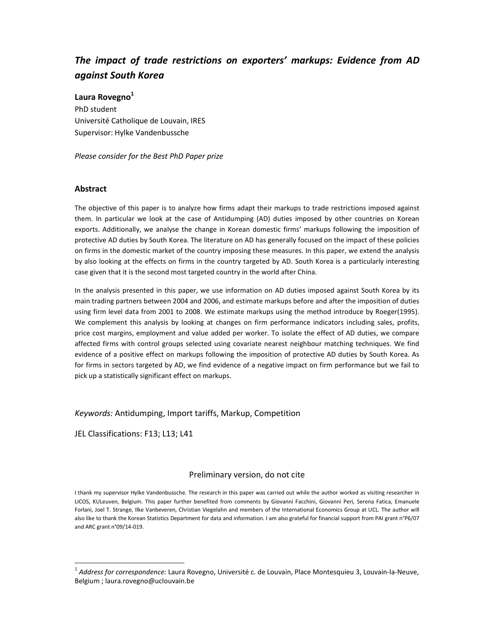# *The impact of trade restrictions on exporters' markups: Evidence from AD against South Korea*

### **Laura Rovegno<sup>1</sup>**

PhD student Université Catholique de Louvain, IRES Supervisor: Hylke Vandenbussche

*Please consider for the Best PhD Paper prize* 

### **Abstract**

The objective of this paper is to analyze how firms adapt their markups to trade restrictions imposed against them. In particular we look at the case of Antidumping (AD) duties imposed by other countries on Korean exports. Additionally, we analyse the change in Korean domestic firms' markups following the imposition of protective AD duties by South Korea. The literature on AD has generally focused on the impact of these policies on firms in the domestic market of the country imposing these measures. In this paper, we extend the analysis by also looking at the effects on firms in the country targeted by AD. South Korea is a particularly interesting case given that it is the second most targeted country in the world after China.

In the analysis presented in this paper, we use information on AD duties imposed against South Korea by its main trading partners between 2004 and 2006, and estimate markups before and after the imposition of duties using firm level data from 2001 to 2008. We estimate markups using the method introduce by Roeger(1995). We complement this analysis by looking at changes on firm performance indicators including sales, profits, price cost margins, employment and value added per worker. To isolate the effect of AD duties, we compare affected firms with control groups selected using covariate nearest neighbour matching techniques. We find evidence of a positive effect on markups following the imposition of protective AD duties by South Korea. As for firms in sectors targeted by AD, we find evidence of a negative impact on firm performance but we fail to pick up a statistically significant effect on markups.

## *Keywords:* Antidumping, Import tariffs, Markup, Competition

JEL Classifications: F13; L13; L41

l,

### Preliminary version, do not cite

I thank my supervisor Hylke Vandenbussche. The research in this paper was carried out while the author worked as visiting researcher in LICOS, KULeuven, Belgium. This paper further benefited from comments by Giovanni Facchini, Giovanni Peri, Serena Fatica, Emanuele Forlani, Joel T. Strange, Ilke Vanbeveren, Christian Viegelahn and members of the International Economics Group at UCL. The author will also like to thank the Korean Statistics Department for data and information. I am also grateful for financial support from PAI grant n°P6/07 and ARC grant n°09/14-019.

<sup>1</sup> *Address for correspondence:* Laura Rovegno, Université c. de Louvain, Place Montesquieu 3, Louvain-la-Neuve, Belgium ; laura.rovegno@uclouvain.be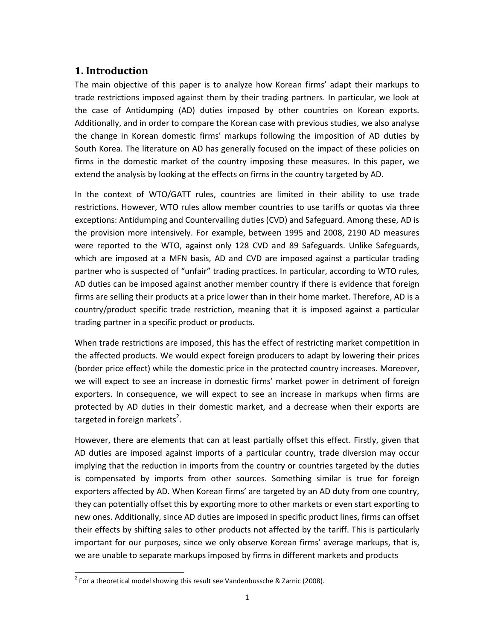# **1. Introduction**

The main objective of this paper is to analyze how Korean firms' adapt their markups to trade restrictions imposed against them by their trading partners. In particular, we look at the case of Antidumping (AD) duties imposed by other countries on Korean exports. Additionally, and in order to compare the Korean case with previous studies, we also analyse the change in Korean domestic firms' markups following the imposition of AD duties by South Korea. The literature on AD has generally focused on the impact of these policies on firms in the domestic market of the country imposing these measures. In this paper, we extend the analysis by looking at the effects on firms in the country targeted by AD.

In the context of WTO/GATT rules, countries are limited in their ability to use trade restrictions. However, WTO rules allow member countries to use tariffs or quotas via three exceptions: Antidumping and Countervailing duties (CVD) and Safeguard. Among these, AD is the provision more intensively. For example, between 1995 and 2008, 2190 AD measures were reported to the WTO, against only 128 CVD and 89 Safeguards. Unlike Safeguards, which are imposed at a MFN basis, AD and CVD are imposed against a particular trading partner who is suspected of "unfair" trading practices. In particular, according to WTO rules, AD duties can be imposed against another member country if there is evidence that foreign firms are selling their products at a price lower than in their home market. Therefore, AD is a country/product specific trade restriction, meaning that it is imposed against a particular trading partner in a specific product or products.

When trade restrictions are imposed, this has the effect of restricting market competition in the affected products. We would expect foreign producers to adapt by lowering their prices (border price effect) while the domestic price in the protected country increases. Moreover, we will expect to see an increase in domestic firms' market power in detriment of foreign exporters. In consequence, we will expect to see an increase in markups when firms are protected by AD duties in their domestic market, and a decrease when their exports are targeted in foreign markets<sup>2</sup>.

However, there are elements that can at least partially offset this effect. Firstly, given that AD duties are imposed against imports of a particular country, trade diversion may occur implying that the reduction in imports from the country or countries targeted by the duties is compensated by imports from other sources. Something similar is true for foreign exporters affected by AD. When Korean firms' are targeted by an AD duty from one country, they can potentially offset this by exporting more to other markets or even start exporting to new ones. Additionally, since AD duties are imposed in specific product lines, firms can offset their effects by shifting sales to other products not affected by the tariff. This is particularly important for our purposes, since we only observe Korean firms' average markups, that is, we are unable to separate markups imposed by firms in different markets and products

1

 $2$  For a theoretical model showing this result see Vandenbussche & Zarnic (2008).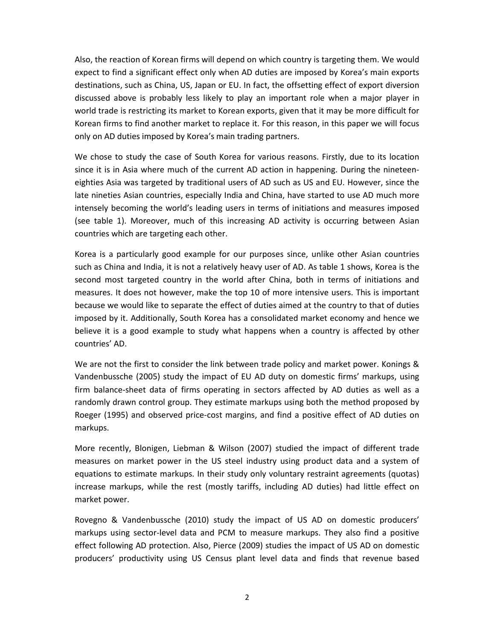Also, the reaction of Korean firms will depend on which country is targeting them. We would expect to find a significant effect only when AD duties are imposed by Korea's main exports destinations, such as China, US, Japan or EU. In fact, the offsetting effect of export diversion discussed above is probably less likely to play an important role when a major player in world trade is restricting its market to Korean exports, given that it may be more difficult for Korean firms to find another market to replace it. For this reason, in this paper we will focus only on AD duties imposed by Korea's main trading partners.

We chose to study the case of South Korea for various reasons. Firstly, due to its location since it is in Asia where much of the current AD action in happening. During the nineteeneighties Asia was targeted by traditional users of AD such as US and EU. However, since the late nineties Asian countries, especially India and China, have started to use AD much more intensely becoming the world's leading users in terms of initiations and measures imposed (see table 1). Moreover, much of this increasing AD activity is occurring between Asian countries which are targeting each other.

Korea is a particularly good example for our purposes since, unlike other Asian countries such as China and India, it is not a relatively heavy user of AD. As table 1 shows, Korea is the second most targeted country in the world after China, both in terms of initiations and measures. It does not however, make the top 10 of more intensive users. This is important because we would like to separate the effect of duties aimed at the country to that of duties imposed by it. Additionally, South Korea has a consolidated market economy and hence we believe it is a good example to study what happens when a country is affected by other countries' AD.

We are not the first to consider the link between trade policy and market power. Konings & Vandenbussche (2005) study the impact of EU AD duty on domestic firms' markups, using firm balance-sheet data of firms operating in sectors affected by AD duties as well as a randomly drawn control group. They estimate markups using both the method proposed by Roeger (1995) and observed price-cost margins, and find a positive effect of AD duties on markups.

More recently, Blonigen, Liebman & Wilson (2007) studied the impact of different trade measures on market power in the US steel industry using product data and a system of equations to estimate markups. In their study only voluntary restraint agreements (quotas) increase markups, while the rest (mostly tariffs, including AD duties) had little effect on market power.

Rovegno & Vandenbussche (2010) study the impact of US AD on domestic producers' markups using sector-level data and PCM to measure markups. They also find a positive effect following AD protection. Also, Pierce (2009) studies the impact of US AD on domestic producers' productivity using US Census plant level data and finds that revenue based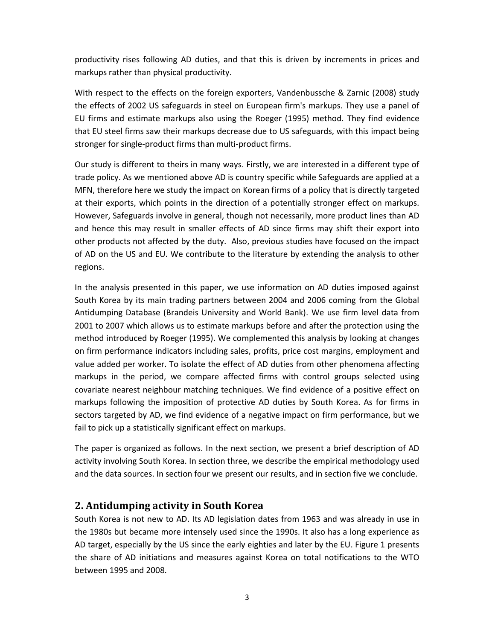productivity rises following AD duties, and that this is driven by increments in prices and markups rather than physical productivity.

With respect to the effects on the foreign exporters, Vandenbussche & Zarnic (2008) study the effects of 2002 US safeguards in steel on European firm's markups. They use a panel of EU firms and estimate markups also using the Roeger (1995) method. They find evidence that EU steel firms saw their markups decrease due to US safeguards, with this impact being stronger for single-product firms than multi-product firms.

Our study is different to theirs in many ways. Firstly, we are interested in a different type of trade policy. As we mentioned above AD is country specific while Safeguards are applied at a MFN, therefore here we study the impact on Korean firms of a policy that is directly targeted at their exports, which points in the direction of a potentially stronger effect on markups. However, Safeguards involve in general, though not necessarily, more product lines than AD and hence this may result in smaller effects of AD since firms may shift their export into other products not affected by the duty. Also, previous studies have focused on the impact of AD on the US and EU. We contribute to the literature by extending the analysis to other regions.

In the analysis presented in this paper, we use information on AD duties imposed against South Korea by its main trading partners between 2004 and 2006 coming from the Global Antidumping Database (Brandeis University and World Bank). We use firm level data from 2001 to 2007 which allows us to estimate markups before and after the protection using the method introduced by Roeger (1995). We complemented this analysis by looking at changes on firm performance indicators including sales, profits, price cost margins, employment and value added per worker. To isolate the effect of AD duties from other phenomena affecting markups in the period, we compare affected firms with control groups selected using covariate nearest neighbour matching techniques. We find evidence of a positive effect on markups following the imposition of protective AD duties by South Korea. As for firms in sectors targeted by AD, we find evidence of a negative impact on firm performance, but we fail to pick up a statistically significant effect on markups.

The paper is organized as follows. In the next section, we present a brief description of AD activity involving South Korea. In section three, we describe the empirical methodology used and the data sources. In section four we present our results, and in section five we conclude.

# **2. Antidumping activity in South Korea**

South Korea is not new to AD. Its AD legislation dates from 1963 and was already in use in the 1980s but became more intensely used since the 1990s. It also has a long experience as AD target, especially by the US since the early eighties and later by the EU. Figure 1 presents the share of AD initiations and measures against Korea on total notifications to the WTO between 1995 and 2008.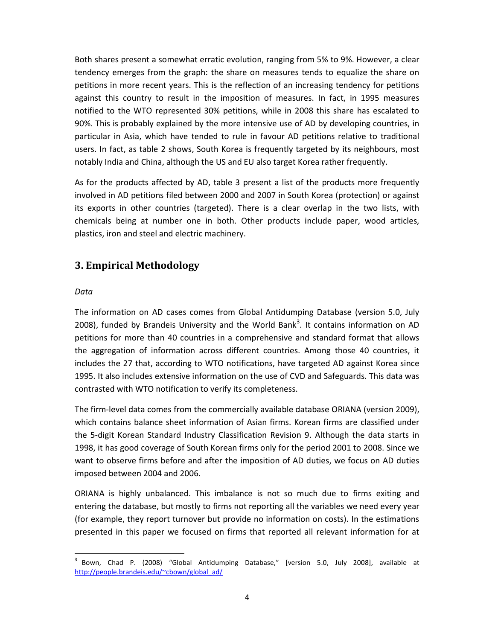Both shares present a somewhat erratic evolution, ranging from 5% to 9%. However, a clear tendency emerges from the graph: the share on measures tends to equalize the share on petitions in more recent years. This is the reflection of an increasing tendency for petitions against this country to result in the imposition of measures. In fact, in 1995 measures notified to the WTO represented 30% petitions, while in 2008 this share has escalated to 90%. This is probably explained by the more intensive use of AD by developing countries, in particular in Asia, which have tended to rule in favour AD petitions relative to traditional users. In fact, as table 2 shows, South Korea is frequently targeted by its neighbours, most notably India and China, although the US and EU also target Korea rather frequently.

As for the products affected by AD, table 3 present a list of the products more frequently involved in AD petitions filed between 2000 and 2007 in South Korea (protection) or against its exports in other countries (targeted). There is a clear overlap in the two lists, with chemicals being at number one in both. Other products include paper, wood articles, plastics, iron and steel and electric machinery.

# **3. Empirical Methodology**

## *Data*

l,

The information on AD cases comes from Global Antidumping Database (version 5.0, July 2008), funded by Brandeis University and the World Bank<sup>3</sup>. It contains information on AD petitions for more than 40 countries in a comprehensive and standard format that allows the aggregation of information across different countries. Among those 40 countries, it includes the 27 that, according to WTO notifications, have targeted AD against Korea since 1995. It also includes extensive information on the use of CVD and Safeguards. This data was contrasted with WTO notification to verify its completeness.

The firm-level data comes from the commercially available database ORIANA (version 2009), which contains balance sheet information of Asian firms. Korean firms are classified under the 5-digit Korean Standard Industry Classification Revision 9. Although the data starts in 1998, it has good coverage of South Korean firms only for the period 2001 to 2008. Since we want to observe firms before and after the imposition of AD duties, we focus on AD duties imposed between 2004 and 2006.

ORIANA is highly unbalanced. This imbalance is not so much due to firms exiting and entering the database, but mostly to firms not reporting all the variables we need every year (for example, they report turnover but provide no information on costs). In the estimations presented in this paper we focused on firms that reported all relevant information for at

<sup>3</sup> Bown, Chad P. (2008) "Global Antidumping Database," [version 5.0, July 2008], available at http://people.brandeis.edu/~cbown/global\_ad/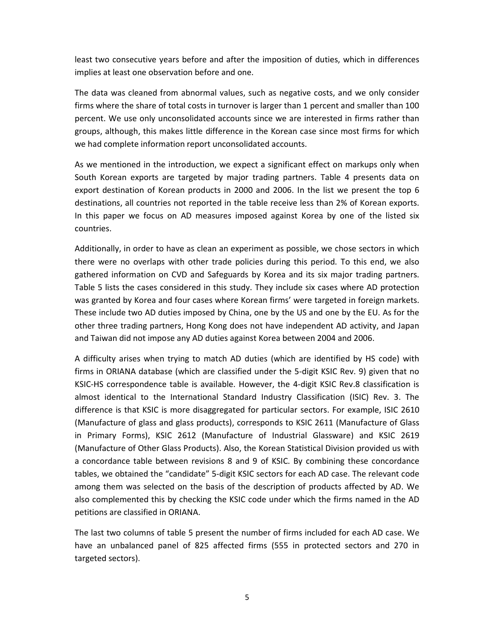least two consecutive years before and after the imposition of duties, which in differences implies at least one observation before and one.

The data was cleaned from abnormal values, such as negative costs, and we only consider firms where the share of total costs in turnover is larger than 1 percent and smaller than 100 percent. We use only unconsolidated accounts since we are interested in firms rather than groups, although, this makes little difference in the Korean case since most firms for which we had complete information report unconsolidated accounts.

As we mentioned in the introduction, we expect a significant effect on markups only when South Korean exports are targeted by major trading partners. Table 4 presents data on export destination of Korean products in 2000 and 2006. In the list we present the top 6 destinations, all countries not reported in the table receive less than 2% of Korean exports. In this paper we focus on AD measures imposed against Korea by one of the listed six countries.

Additionally, in order to have as clean an experiment as possible, we chose sectors in which there were no overlaps with other trade policies during this period. To this end, we also gathered information on CVD and Safeguards by Korea and its six major trading partners. Table 5 lists the cases considered in this study. They include six cases where AD protection was granted by Korea and four cases where Korean firms' were targeted in foreign markets. These include two AD duties imposed by China, one by the US and one by the EU. As for the other three trading partners, Hong Kong does not have independent AD activity, and Japan and Taiwan did not impose any AD duties against Korea between 2004 and 2006.

A difficulty arises when trying to match AD duties (which are identified by HS code) with firms in ORIANA database (which are classified under the 5-digit KSIC Rev. 9) given that no KSIC-HS correspondence table is available. However, the 4-digit KSIC Rev.8 classification is almost identical to the International Standard Industry Classification (ISIC) Rev. 3. The difference is that KSIC is more disaggregated for particular sectors. For example, ISIC 2610 (Manufacture of glass and glass products), corresponds to KSIC 2611 (Manufacture of Glass in Primary Forms), KSIC 2612 (Manufacture of Industrial Glassware) and KSIC 2619 (Manufacture of Other Glass Products). Also, the Korean Statistical Division provided us with a concordance table between revisions 8 and 9 of KSIC. By combining these concordance tables, we obtained the "candidate" 5-digit KSIC sectors for each AD case. The relevant code among them was selected on the basis of the description of products affected by AD. We also complemented this by checking the KSIC code under which the firms named in the AD petitions are classified in ORIANA.

The last two columns of table 5 present the number of firms included for each AD case. We have an unbalanced panel of 825 affected firms (555 in protected sectors and 270 in targeted sectors).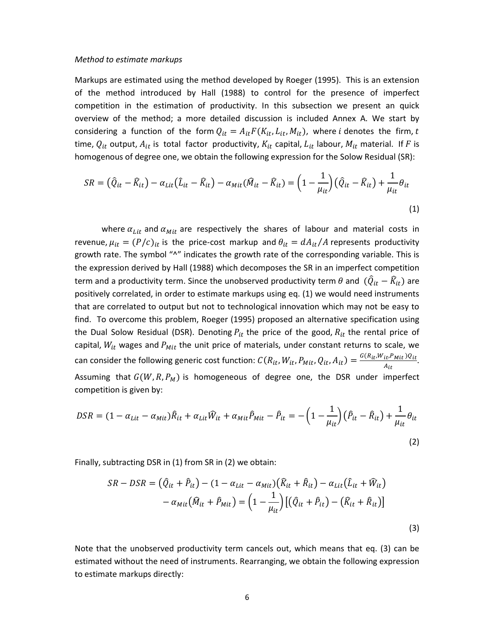#### *Method to estimate markups*

Markups are estimated using the method developed by Roeger (1995). This is an extension of the method introduced by Hall (1988) to control for the presence of imperfect competition in the estimation of productivity. In this subsection we present an quick overview of the method; a more detailed discussion is included Annex A. We start by considering a function of the form  $Q_{it} = A_{it} F(K_{it}, L_{it}, M_{it})$ , where *i* denotes the firm, *t* time,  $Q_{it}$  output,  $A_{it}$  is total factor productivity,  $K_{it}$  capital,  $L_{it}$  labour,  $M_{it}$  material. If  $F$  is homogenous of degree one, we obtain the following expression for the Solow Residual (SR):

$$
SR = \left(\hat{Q}_{it} - \hat{K}_{it}\right) - \alpha_{Lit} \left(\hat{L}_{it} - \hat{K}_{it}\right) - \alpha_{Mit} \left(\hat{M}_{it} - \hat{K}_{it}\right) = \left(1 - \frac{1}{\mu_{it}}\right) \left(\hat{Q}_{it} - \hat{K}_{it}\right) + \frac{1}{\mu_{it}} \theta_{it}
$$
\n(1)

where  $\alpha_{Lit}$  and  $\alpha_{Mit}$  are respectively the shares of labour and material costs in revenue,  $\mu_{it} = (P/c)_{it}$  is the price-cost markup and  $\theta_{it} = dA_{it}/A$  represents productivity growth rate. The symbol "^" indicates the growth rate of the corresponding variable. This is the expression derived by Hall (1988) which decomposes the SR in an imperfect competition term and a productivity term. Since the unobserved productivity term  $\theta$  and  $(\widehat{Q}_{it} - \widehat{K}_{it})$  are positively correlated, in order to estimate markups using eq. (1) we would need instruments that are correlated to output but not to technological innovation which may not be easy to find. To overcome this problem, Roeger (1995) proposed an alternative specification using the Dual Solow Residual (DSR). Denoting  $P_{it}$  the price of the good,  $R_{it}$  the rental price of capital,  $W_{it}$  wages and  $P_{Mit}$  the unit price of materials, under constant returns to scale, we can consider the following generic cost function:  $C(R_{it}, W_{it}, P_{Mit}, Q_{it}, A_{it}) = \frac{G(R_{it}, W_{it}, P_{Mit})Q_{it}}{A_{it}}$ <u>it<sup>,r</sup> Mit <sup>yit</sup>.</u><br>A<sub>it</sub> Assuming that  $G(W, R, P_M)$  is homogeneous of degree one, the DSR under imperfect competition is given by:

$$
DSR = (1 - \alpha_{Lit} - \alpha_{Mit})\hat{R}_{it} + \alpha_{Lit}\hat{W}_{it} + \alpha_{Mit}\hat{P}_{Mit} - \hat{P}_{it} = -\left(1 - \frac{1}{\mu_{it}}\right)(\hat{P}_{it} - \hat{R}_{it}) + \frac{1}{\mu_{it}}\theta_{it}
$$
\n(2)

Finally, subtracting DSR in (1) from SR in (2) we obtain:

$$
SR - DSR = \left(\hat{Q}_{it} + \hat{P}_{it}\right) - \left(1 - \alpha_{Lit} - \alpha_{Mit}\right)\left(\hat{R}_{it} + \hat{R}_{it}\right) - \alpha_{Lit}\left(\hat{L}_{it} + \hat{W}_{it}\right) - \alpha_{Mit}\left(\hat{M}_{it} + \hat{P}_{Mit}\right) = \left(1 - \frac{1}{\mu_{it}}\right)\left[\left(\hat{Q}_{it} + \hat{P}_{it}\right) - \left(\hat{R}_{it} + \hat{R}_{it}\right)\right]
$$
\n(3)

Note that the unobserved productivity term cancels out, which means that eq. (3) can be estimated without the need of instruments. Rearranging, we obtain the following expression to estimate markups directly: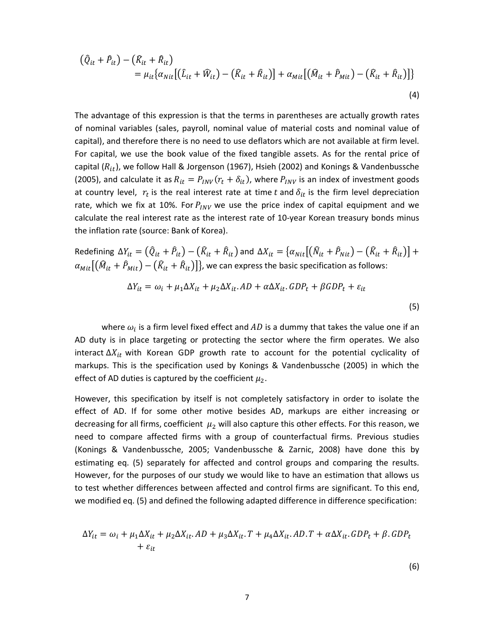$$
\begin{aligned} \left(\hat{Q}_{it} + \hat{P}_{it}\right) - \left(\hat{K}_{it} + \hat{R}_{it}\right) \\ &= \mu_{it} \{\alpha_{Nit} \big[ \left(\hat{L}_{it} + \hat{W}_{it}\right) - \left(\hat{K}_{it} + \hat{R}_{it}\right) \big] + \alpha_{Mit} \big[ \left(\hat{M}_{it} + \hat{P}_{Mit}\right) - \left(\hat{K}_{it} + \hat{R}_{it}\right) \big] \} \end{aligned} \tag{4}
$$

The advantage of this expression is that the terms in parentheses are actually growth rates of nominal variables (sales, payroll, nominal value of material costs and nominal value of capital), and therefore there is no need to use deflators which are not available at firm level. For capital, we use the book value of the fixed tangible assets. As for the rental price of capital ( $R_{it}$ ), we follow Hall & Jorgenson (1967), Hsieh (2002) and Konings & Vandenbussche (2005), and calculate it as  $R_{it} = P_{INV}(r_t + \delta_{it})$ , where  $P_{INV}$  is an index of investment goods at country level,  $r_t$  is the real interest rate at time t and  $\delta_{it}$  is the firm level depreciation rate, which we fix at 10%. For  $P_{INV}$  we use the price index of capital equipment and we calculate the real interest rate as the interest rate of 10-year Korean treasury bonds minus the inflation rate (source: Bank of Korea).

Redefining  $\Delta Y_{it} = (\hat{Q}_{it} + \hat{P}_{it}) - (\hat{K}_{it} + \hat{R}_{it})$  and  $\Delta X_{it} = \{\alpha_{Nit} | (\hat{N}_{it} + \hat{P}_{Nit}) - (\hat{K}_{it} + \hat{R}_{it})\}$  +  $\alpha_{Mit}[(\widehat M_{it}+\widehat P_{Mit})-(\widehat K_{it}+\widehat R_{it})]\}$ , we can express the basic specification as follows:

$$
\Delta Y_{it} = \omega_i + \mu_1 \Delta X_{it} + \mu_2 \Delta X_{it}. AD + \alpha \Delta X_{it}. GDP_t + \beta GDP_t + \varepsilon_{it}
$$
\n
$$
\tag{5}
$$

where  $\omega_i$  is a firm level fixed effect and  $AD$  is a dummy that takes the value one if an AD duty is in place targeting or protecting the sector where the firm operates. We also interact  $\Delta X_{it}$  with Korean GDP growth rate to account for the potential cyclicality of markups. This is the specification used by Konings & Vandenbussche (2005) in which the effect of AD duties is captured by the coefficient  $\mu_2$ .

However, this specification by itself is not completely satisfactory in order to isolate the effect of AD. If for some other motive besides AD, markups are either increasing or decreasing for all firms, coefficient  $\mu_2$  will also capture this other effects. For this reason, we need to compare affected firms with a group of counterfactual firms. Previous studies (Konings & Vandenbussche, 2005; Vandenbussche & Zarnic, 2008) have done this by estimating eq. (5) separately for affected and control groups and comparing the results. However, for the purposes of our study we would like to have an estimation that allows us to test whether differences between affected and control firms are significant. To this end, we modified eq. (5) and defined the following adapted difference in difference specification:

$$
\Delta Y_{it} = \omega_i + \mu_1 \Delta X_{it} + \mu_2 \Delta X_{it}. AD + \mu_3 \Delta X_{it}. T + \mu_4 \Delta X_{it}. AD.T + \alpha \Delta X_{it}. GDP_t + \beta. GDP_t
$$
  
+  $\varepsilon_{it}$ 

(6)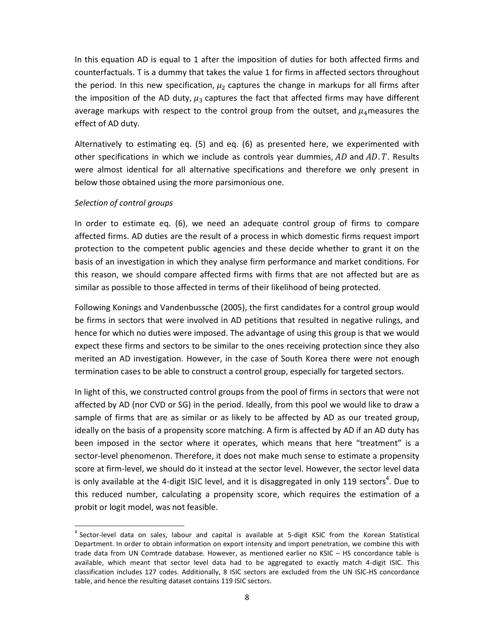In this equation AD is equal to 1 after the imposition of duties for both affected firms and counterfactuals. T is a dummy that takes the value 1 for firms in affected sectors throughout the period. In this new specification,  $\mu_2$  captures the change in markups for all firms after the imposition of the AD duty,  $\mu_3$  captures the fact that affected firms may have different average markups with respect to the control group from the outset, and  $\mu_4$  measures the effect of AD duty.

Alternatively to estimating eq. (5) and eq. (6) as presented here, we experimented with other specifications in which we include as controls year dummies,  $AD$  and  $AD. T$ . Results were almost identical for all alternative specifications and therefore we only present in below those obtained using the more parsimonious one.

### *Selection of control groups*

1

In order to estimate eq. (6), we need an adequate control group of firms to compare affected firms. AD duties are the result of a process in which domestic firms request import protection to the competent public agencies and these decide whether to grant it on the basis of an investigation in which they analyse firm performance and market conditions. For this reason, we should compare affected firms with firms that are not affected but are as similar as possible to those affected in terms of their likelihood of being protected.

Following Konings and Vandenbussche (2005), the first candidates for a control group would be firms in sectors that were involved in AD petitions that resulted in negative rulings, and hence for which no duties were imposed. The advantage of using this group is that we would expect these firms and sectors to be similar to the ones receiving protection since they also merited an AD investigation. However, in the case of South Korea there were not enough termination cases to be able to construct a control group, especially for targeted sectors.

In light of this, we constructed control groups from the pool of firms in sectors that were not affected by AD (nor CVD or SG) in the period. Ideally, from this pool we would like to draw a sample of firms that are as similar or as likely to be affected by AD as our treated group, ideally on the basis of a propensity score matching. A firm is affected by AD if an AD duty has been imposed in the sector where it operates, which means that here "treatment" is a sector-level phenomenon. Therefore, it does not make much sense to estimate a propensity score at firm-level, we should do it instead at the sector level. However, the sector level data is only available at the 4-digit ISIC level, and it is disaggregated in only 119 sectors<sup>4</sup>. Due to this reduced number, calculating a propensity score, which requires the estimation of a probit or logit model, was not feasible.

<sup>&</sup>lt;sup>4</sup> Sector-level data on sales, labour and capital is available at 5-digit KSIC from the Korean Statistical Department. In order to obtain information on export intensity and import penetration, we combine this with trade data from UN Comtrade database. However, as mentioned earlier no KSIC – HS concordance table is available, which meant that sector level data had to be aggregated to exactly match 4-digit ISIC. This classification includes 127 codes. Additionally, 8 ISIC sectors are excluded from the UN ISIC-HS concordance table, and hence the resulting dataset contains 119 ISIC sectors.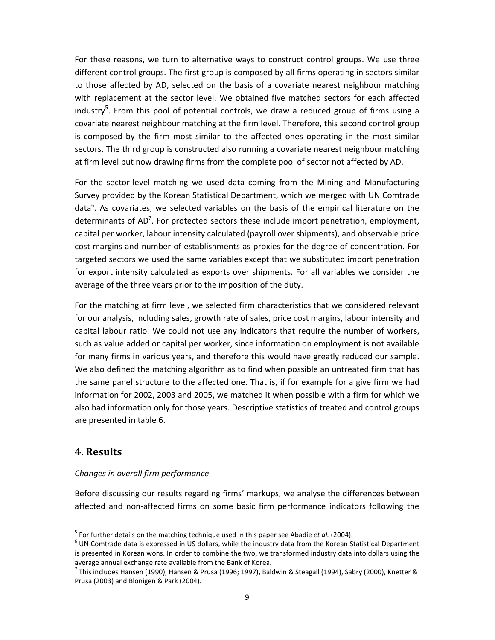For these reasons, we turn to alternative ways to construct control groups. We use three different control groups. The first group is composed by all firms operating in sectors similar to those affected by AD, selected on the basis of a covariate nearest neighbour matching with replacement at the sector level. We obtained five matched sectors for each affected industry<sup>5</sup>. From this pool of potential controls, we draw a reduced group of firms using a covariate nearest neighbour matching at the firm level. Therefore, this second control group is composed by the firm most similar to the affected ones operating in the most similar sectors. The third group is constructed also running a covariate nearest neighbour matching at firm level but now drawing firms from the complete pool of sector not affected by AD.

For the sector-level matching we used data coming from the Mining and Manufacturing Survey provided by the Korean Statistical Department, which we merged with UN Comtrade data<sup>6</sup>. As covariates, we selected variables on the basis of the empirical literature on the determinants of AD<sup>7</sup>. For protected sectors these include import penetration, employment, capital per worker, labour intensity calculated (payroll over shipments), and observable price cost margins and number of establishments as proxies for the degree of concentration. For targeted sectors we used the same variables except that we substituted import penetration for export intensity calculated as exports over shipments. For all variables we consider the average of the three years prior to the imposition of the duty.

For the matching at firm level, we selected firm characteristics that we considered relevant for our analysis, including sales, growth rate of sales, price cost margins, labour intensity and capital labour ratio. We could not use any indicators that require the number of workers, such as value added or capital per worker, since information on employment is not available for many firms in various years, and therefore this would have greatly reduced our sample. We also defined the matching algorithm as to find when possible an untreated firm that has the same panel structure to the affected one. That is, if for example for a give firm we had information for 2002, 2003 and 2005, we matched it when possible with a firm for which we also had information only for those years. Descriptive statistics of treated and control groups are presented in table 6.

# **4. Results**

1

## *Changes in overall firm performance*

Before discussing our results regarding firms' markups, we analyse the differences between affected and non-affected firms on some basic firm performance indicators following the

<sup>5</sup> For further details on the matching technique used in this paper see Abadie *et al.* (2004).

 $<sup>6</sup>$  UN Comtrade data is expressed in US dollars, while the industry data from the Korean Statistical Department</sup> is presented in Korean wons. In order to combine the two, we transformed industry data into dollars using the average annual exchange rate available from the Bank of Korea.

<sup>&</sup>lt;sup>7</sup> This includes Hansen (1990), Hansen & Prusa (1996; 1997), Baldwin & Steagall (1994), Sabry (2000), Knetter & Prusa (2003) and Blonigen & Park (2004).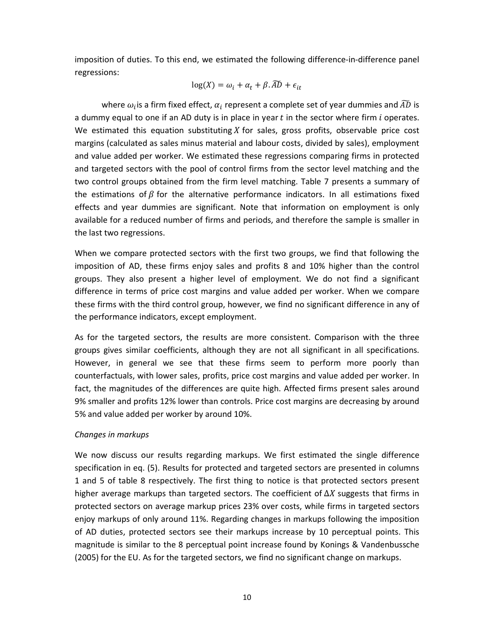imposition of duties. To this end, we estimated the following difference-in-difference panel regressions:

$$
\log(X) = \omega_i + \alpha_t + \beta.\widetilde{AD} + \epsilon_{it}
$$

where  $\omega_i$ is a firm fixed effect,  $\alpha_i$  represent a complete set of year dummies and  $\widetilde{AD}$  is a dummy equal to one if an AD duty is in place in year  $t$  in the sector where firm  $i$  operates. We estimated this equation substituting  $X$  for sales, gross profits, observable price cost margins (calculated as sales minus material and labour costs, divided by sales), employment and value added per worker. We estimated these regressions comparing firms in protected and targeted sectors with the pool of control firms from the sector level matching and the two control groups obtained from the firm level matching. Table 7 presents a summary of the estimations of  $\beta$  for the alternative performance indicators. In all estimations fixed effects and year dummies are significant. Note that information on employment is only available for a reduced number of firms and periods, and therefore the sample is smaller in the last two regressions.

When we compare protected sectors with the first two groups, we find that following the imposition of AD, these firms enjoy sales and profits 8 and 10% higher than the control groups. They also present a higher level of employment. We do not find a significant difference in terms of price cost margins and value added per worker. When we compare these firms with the third control group, however, we find no significant difference in any of the performance indicators, except employment.

As for the targeted sectors, the results are more consistent. Comparison with the three groups gives similar coefficients, although they are not all significant in all specifications. However, in general we see that these firms seem to perform more poorly than counterfactuals, with lower sales, profits, price cost margins and value added per worker. In fact, the magnitudes of the differences are quite high. Affected firms present sales around 9% smaller and profits 12% lower than controls. Price cost margins are decreasing by around 5% and value added per worker by around 10%.

## *Changes in markups*

We now discuss our results regarding markups. We first estimated the single difference specification in eq. (5). Results for protected and targeted sectors are presented in columns 1 and 5 of table 8 respectively. The first thing to notice is that protected sectors present higher average markups than targeted sectors. The coefficient of  $\Delta X$  suggests that firms in protected sectors on average markup prices 23% over costs, while firms in targeted sectors enjoy markups of only around 11%. Regarding changes in markups following the imposition of AD duties, protected sectors see their markups increase by 10 perceptual points. This magnitude is similar to the 8 perceptual point increase found by Konings & Vandenbussche (2005) for the EU. As for the targeted sectors, we find no significant change on markups.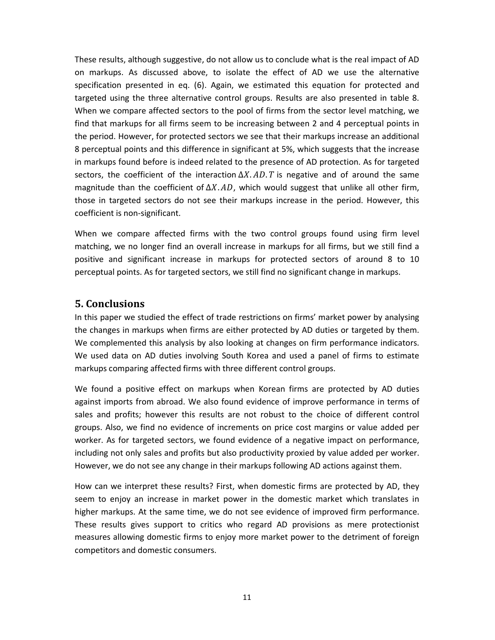These results, although suggestive, do not allow us to conclude what is the real impact of AD on markups. As discussed above, to isolate the effect of AD we use the alternative specification presented in eq. (6). Again, we estimated this equation for protected and targeted using the three alternative control groups. Results are also presented in table 8. When we compare affected sectors to the pool of firms from the sector level matching, we find that markups for all firms seem to be increasing between 2 and 4 perceptual points in the period. However, for protected sectors we see that their markups increase an additional 8 perceptual points and this difference in significant at 5%, which suggests that the increase in markups found before is indeed related to the presence of AD protection. As for targeted sectors, the coefficient of the interaction  $\Delta X$ . AD. T is negative and of around the same magnitude than the coefficient of  $\Delta X$ . AD, which would suggest that unlike all other firm, those in targeted sectors do not see their markups increase in the period. However, this coefficient is non-significant.

When we compare affected firms with the two control groups found using firm level matching, we no longer find an overall increase in markups for all firms, but we still find a positive and significant increase in markups for protected sectors of around 8 to 10 perceptual points. As for targeted sectors, we still find no significant change in markups.

# **5. Conclusions**

In this paper we studied the effect of trade restrictions on firms' market power by analysing the changes in markups when firms are either protected by AD duties or targeted by them. We complemented this analysis by also looking at changes on firm performance indicators. We used data on AD duties involving South Korea and used a panel of firms to estimate markups comparing affected firms with three different control groups.

We found a positive effect on markups when Korean firms are protected by AD duties against imports from abroad. We also found evidence of improve performance in terms of sales and profits; however this results are not robust to the choice of different control groups. Also, we find no evidence of increments on price cost margins or value added per worker. As for targeted sectors, we found evidence of a negative impact on performance, including not only sales and profits but also productivity proxied by value added per worker. However, we do not see any change in their markups following AD actions against them.

How can we interpret these results? First, when domestic firms are protected by AD, they seem to enjoy an increase in market power in the domestic market which translates in higher markups. At the same time, we do not see evidence of improved firm performance. These results gives support to critics who regard AD provisions as mere protectionist measures allowing domestic firms to enjoy more market power to the detriment of foreign competitors and domestic consumers.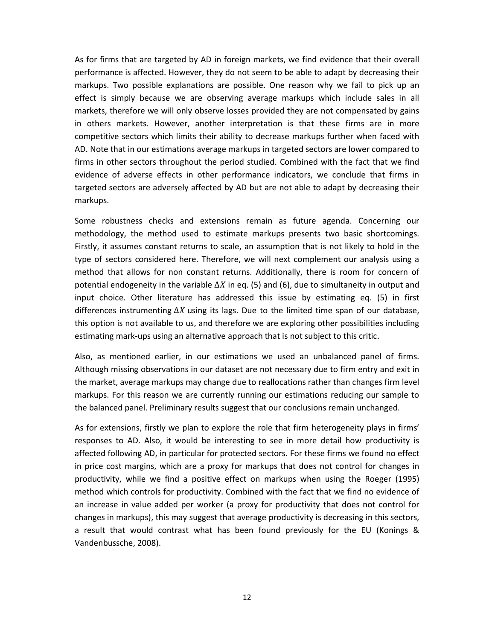As for firms that are targeted by AD in foreign markets, we find evidence that their overall performance is affected. However, they do not seem to be able to adapt by decreasing their markups. Two possible explanations are possible. One reason why we fail to pick up an effect is simply because we are observing average markups which include sales in all markets, therefore we will only observe losses provided they are not compensated by gains in others markets. However, another interpretation is that these firms are in more competitive sectors which limits their ability to decrease markups further when faced with AD. Note that in our estimations average markups in targeted sectors are lower compared to firms in other sectors throughout the period studied. Combined with the fact that we find evidence of adverse effects in other performance indicators, we conclude that firms in targeted sectors are adversely affected by AD but are not able to adapt by decreasing their markups.

Some robustness checks and extensions remain as future agenda. Concerning our methodology, the method used to estimate markups presents two basic shortcomings. Firstly, it assumes constant returns to scale, an assumption that is not likely to hold in the type of sectors considered here. Therefore, we will next complement our analysis using a method that allows for non constant returns. Additionally, there is room for concern of potential endogeneity in the variable  $\Delta X$  in eq. (5) and (6), due to simultaneity in output and input choice. Other literature has addressed this issue by estimating eq. (5) in first differences instrumenting  $\Delta X$  using its lags. Due to the limited time span of our database, this option is not available to us, and therefore we are exploring other possibilities including estimating mark-ups using an alternative approach that is not subject to this critic.

Also, as mentioned earlier, in our estimations we used an unbalanced panel of firms. Although missing observations in our dataset are not necessary due to firm entry and exit in the market, average markups may change due to reallocations rather than changes firm level markups. For this reason we are currently running our estimations reducing our sample to the balanced panel. Preliminary results suggest that our conclusions remain unchanged.

As for extensions, firstly we plan to explore the role that firm heterogeneity plays in firms' responses to AD. Also, it would be interesting to see in more detail how productivity is affected following AD, in particular for protected sectors. For these firms we found no effect in price cost margins, which are a proxy for markups that does not control for changes in productivity, while we find a positive effect on markups when using the Roeger (1995) method which controls for productivity. Combined with the fact that we find no evidence of an increase in value added per worker (a proxy for productivity that does not control for changes in markups), this may suggest that average productivity is decreasing in this sectors, a result that would contrast what has been found previously for the EU (Konings & Vandenbussche, 2008).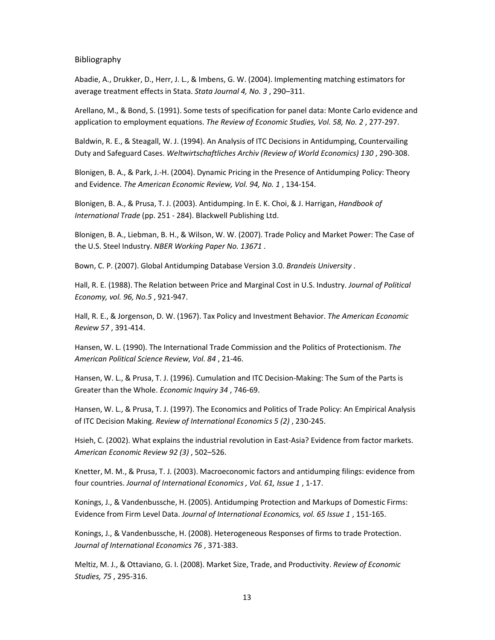Bibliography

Abadie, A., Drukker, D., Herr, J. L., & Imbens, G. W. (2004). Implementing matching estimators for average treatment effects in Stata. *Stata Journal 4, No. 3* , 290–311.

Arellano, M., & Bond, S. (1991). Some tests of specification for panel data: Monte Carlo evidence and application to employment equations. *The Review of Economic Studies, Vol. 58, No. 2* , 277-297.

Baldwin, R. E., & Steagall, W. J. (1994). An Analysis of ITC Decisions in Antidumping, Countervailing Duty and Safeguard Cases. *Weltwirtschaftliches Archiv (Review of World Economics) 130* , 290-308.

Blonigen, B. A., & Park, J.-H. (2004). Dynamic Pricing in the Presence of Antidumping Policy: Theory and Evidence. *The American Economic Review, Vol. 94, No. 1* , 134-154.

Blonigen, B. A., & Prusa, T. J. (2003). Antidumping. In E. K. Choi, & J. Harrigan, *Handbook of International Trade* (pp. 251 - 284). Blackwell Publishing Ltd.

Blonigen, B. A., Liebman, B. H., & Wilson, W. W. (2007). Trade Policy and Market Power: The Case of the U.S. Steel Industry. *NBER Working Paper No. 13671* .

Bown, C. P. (2007). Global Antidumping Database Version 3.0. *Brandeis University* .

Hall, R. E. (1988). The Relation between Price and Marginal Cost in U.S. Industry. *Journal of Political Economy, vol. 96, No.5* , 921-947.

Hall, R. E., & Jorgenson, D. W. (1967). Tax Policy and Investment Behavior. *The American Economic Review 57* , 391-414.

Hansen, W. L. (1990). The International Trade Commission and the Politics of Protectionism. *The American Political Science Review, Vol. 84* , 21-46.

Hansen, W. L., & Prusa, T. J. (1996). Cumulation and ITC Decision-Making: The Sum of the Parts is Greater than the Whole. *Economic Inquiry 34* , 746-69.

Hansen, W. L., & Prusa, T. J. (1997). The Economics and Politics of Trade Policy: An Empirical Analysis of ITC Decision Making. *Review of International Economics 5 (2)* , 230-245.

Hsieh, C. (2002). What explains the industrial revolution in East-Asia? Evidence from factor markets. *American Economic Review 92 (3)* , 502–526.

Knetter, M. M., & Prusa, T. J. (2003). Macroeconomic factors and antidumping filings: evidence from four countries. *Journal of International Economics , Vol. 61, Issue 1* , 1-17.

Konings, J., & Vandenbussche, H. (2005). Antidumping Protection and Markups of Domestic Firms: Evidence from Firm Level Data. *Journal of International Economics, vol. 65 Issue 1* , 151-165.

Konings, J., & Vandenbussche, H. (2008). Heterogeneous Responses of firms to trade Protection. *Journal of International Economics 76* , 371-383.

Meltiz, M. J., & Ottaviano, G. I. (2008). Market Size, Trade, and Productivity. *Review of Economic Studies, 75* , 295-316.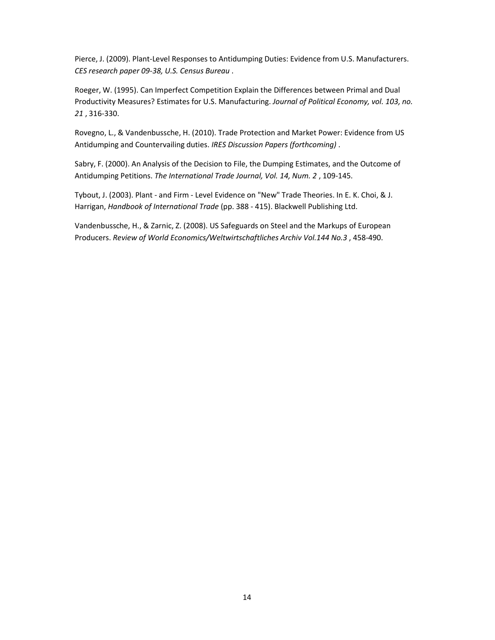Pierce, J. (2009). Plant-Level Responses to Antidumping Duties: Evidence from U.S. Manufacturers. *CES research paper 09-38, U.S. Census Bureau* .

Roeger, W. (1995). Can Imperfect Competition Explain the Differences between Primal and Dual Productivity Measures? Estimates for U.S. Manufacturing. *Journal of Political Economy, vol. 103, no. 21* , 316-330.

Rovegno, L., & Vandenbussche, H. (2010). Trade Protection and Market Power: Evidence from US Antidumping and Countervailing duties. *IRES Discussion Papers (forthcoming)* .

Sabry, F. (2000). An Analysis of the Decision to File, the Dumping Estimates, and the Outcome of Antidumping Petitions. *The International Trade Journal, Vol. 14, Num. 2* , 109-145.

Tybout, J. (2003). Plant - and Firm - Level Evidence on "New" Trade Theories. In E. K. Choi, & J. Harrigan, *Handbook of International Trade* (pp. 388 - 415). Blackwell Publishing Ltd.

Vandenbussche, H., & Zarnic, Z. (2008). US Safeguards on Steel and the Markups of European Producers. *Review of World Economics/Weltwirtschaftliches Archiv Vol.144 No.3* , 458-490.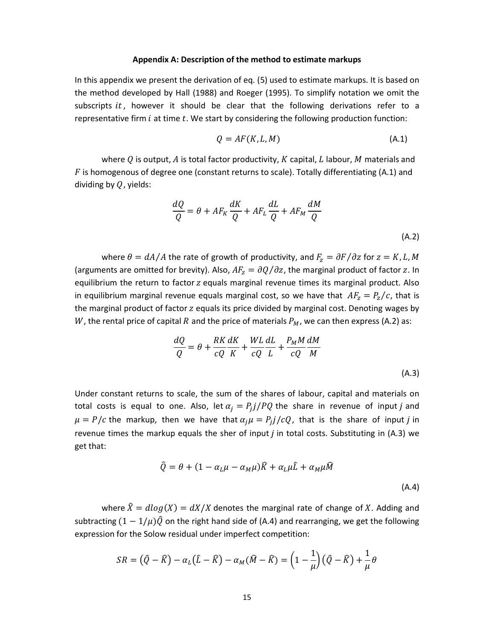#### **Appendix A: Description of the method to estimate markups**

In this appendix we present the derivation of eq. (5) used to estimate markups. It is based on the method developed by Hall (1988) and Roeger (1995). To simplify notation we omit the subscripts  $it$ , however it should be clear that the following derivations refer to a representative firm  $i$  at time  $t$ . We start by considering the following production function:

$$
Q = AF(K, L, M) \tag{A.1}
$$

where  $Q$  is output,  $A$  is total factor productivity,  $K$  capital,  $L$  labour,  $M$  materials and  $F$  is homogenous of degree one (constant returns to scale). Totally differentiating (A.1) and dividing by  $Q$ , yields:

$$
\frac{dQ}{Q} = \theta + AF_K \frac{dK}{Q} + AF_L \frac{dL}{Q} + AF_M \frac{dM}{Q}
$$
\n(A.2)

where  $\theta = dA/A$  the rate of growth of productivity, and  $F_z = \partial F / \partial z$  for  $z = K, L, M$ (arguments are omitted for brevity). Also,  $AF_z = \partial Q/\partial z$ , the marginal product of factor z. In equilibrium the return to factor z equals marginal revenue times its marginal product. Also in equilibrium marginal revenue equals marginal cost, so we have that  $AF_z = P_z/c$ , that is the marginal product of factor z equals its price divided by marginal cost. Denoting wages by W, the rental price of capital R and the price of materials  $P_M$ , we can then express (A.2) as:

$$
\frac{dQ}{Q} = \theta + \frac{RK}{cQ} \frac{dK}{K} + \frac{WL}{cQ} \frac{dL}{L} + \frac{P_M M}{cQ} \frac{dM}{M}
$$
\n(A.3)

Under constant returns to scale, the sum of the shares of labour, capital and materials on total costs is equal to one. Also, let  $\alpha_j = P_j j/PQ$  the share in revenue of input j and  $\mu = P/c$  the markup, then we have that  $\alpha_j \mu = P_j j/cQ$ , that is the share of input *j* in revenue times the markup equals the sher of input  *in total costs. Substituting in (A.3) we* get that:

$$
\hat{Q} = \theta + (1 - \alpha_L \mu - \alpha_M \mu) \hat{K} + \alpha_L \mu \hat{L} + \alpha_M \mu \hat{M}
$$
\n(A.4)

where  $\hat{X} = d \log(X) = dX/X$  denotes the marginal rate of change of X. Adding and subtracting  $(1 - 1/\mu)\hat{\theta}$  on the right hand side of (A.4) and rearranging, we get the following expression for the Solow residual under imperfect competition:

$$
SR = (\hat{Q} - \hat{K}) - \alpha_L(\hat{L} - \hat{K}) - \alpha_M(\hat{M} - \hat{K}) = \left(1 - \frac{1}{\mu}\right)(\hat{Q} - \hat{K}) + \frac{1}{\mu}\theta
$$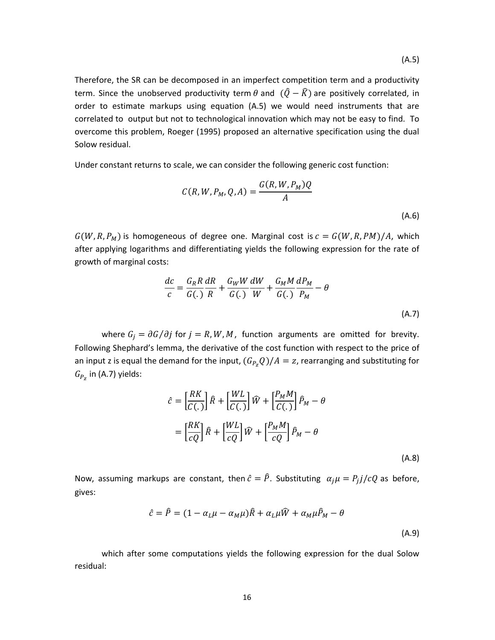Therefore, the SR can be decomposed in an imperfect competition term and a productivity term. Since the unobserved productivity term  $\theta$  and  $(\hat{Q} - \hat{K})$  are positively correlated, in order to estimate markups using equation (A.5) we would need instruments that are correlated to output but not to technological innovation which may not be easy to find. To overcome this problem, Roeger (1995) proposed an alternative specification using the dual Solow residual.

Under constant returns to scale, we can consider the following generic cost function:

$$
C(R, W, P_M, Q, A) = \frac{G(R, W, P_M)Q}{A}
$$
\n(A.6)

 $G(W, R, P_M)$  is homogeneous of degree one. Marginal cost is  $c = G(W, R, PM)/A$ , which after applying logarithms and differentiating yields the following expression for the rate of growth of marginal costs:

$$
\frac{dc}{c} = \frac{G_R R}{G(.)} \frac{dR}{R} + \frac{G_W W}{G(.)} \frac{dW}{W} + \frac{G_M M}{G(.)} \frac{dP_M}{P_M} - \theta
$$
\n(A.7)

where  $G_i = \partial G / \partial j$  for  $j = R, W, M$ , function arguments are omitted for brevity. Following Shephard's lemma, the derivative of the cost function with respect to the price of an input z is equal the demand for the input,  $(G_{P_Z}Q)/A=z$ , rearranging and substituting for  $G_{P_Z}$  in (A.7) yields:

$$
\hat{c} = \left[\frac{RK}{C(.)}\right]\hat{R} + \left[\frac{WL}{C(.)}\right]\hat{W} + \left[\frac{P_M M}{C(.)}\right]\hat{P}_M - \theta
$$

$$
= \left[\frac{RK}{cQ}\right]\hat{R} + \left[\frac{WL}{cQ}\right]\hat{W} + \left[\frac{P_M M}{cQ}\right]\hat{P}_M - \theta
$$
(A.8)

Now, assuming markups are constant, then  $\hat{c} = \hat{P}$ . Substituting  $\alpha_j \mu = P_j j/cQ$  as before, gives:

$$
\hat{c} = \hat{P} = (1 - \alpha_L \mu - \alpha_M \mu) \hat{R} + \alpha_L \mu \hat{W} + \alpha_M \mu \hat{P}_M - \theta
$$
\n(A.9)

which after some computations yields the following expression for the dual Solow residual: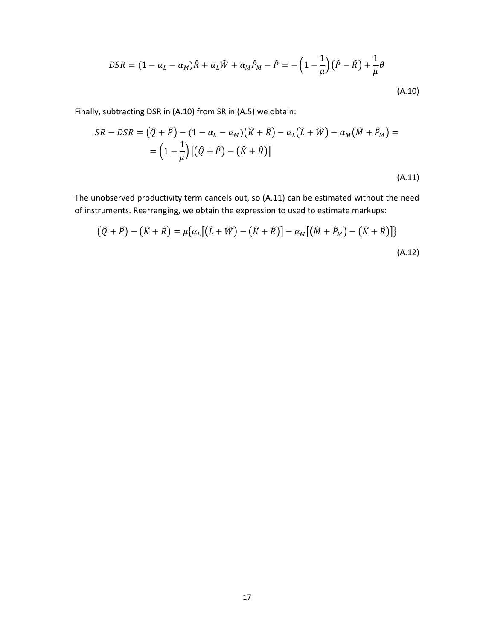$$
DSR = (1 - \alpha_L - \alpha_M)\hat{R} + \alpha_L\hat{W} + \alpha_M\hat{P}_M - \hat{P} = -\left(1 - \frac{1}{\mu}\right)(\hat{P} - \hat{R}) + \frac{1}{\mu}\theta
$$
\n(A.10)

Finally, subtracting DSR in (A.10) from SR in (A.5) we obtain:

$$
SR - DSR = \left(\hat{Q} + \hat{P}\right) - \left(1 - \alpha_L - \alpha_M\right)\left(\hat{K} + \hat{R}\right) - \alpha_L\left(\hat{L} + \hat{W}\right) - \alpha_M\left(\hat{M} + \hat{P}_M\right) =
$$
\n
$$
= \left(1 - \frac{1}{\mu}\right)\left[\left(\hat{Q} + \hat{P}\right) - \left(\hat{K} + \hat{R}\right)\right]
$$
\n(A.11)

The unobserved productivity term cancels out, so (A.11) can be estimated without the need of instruments. Rearranging, we obtain the expression to used to estimate markups:

$$
(\hat{Q} + \hat{P}) - (\hat{K} + \hat{R}) = \mu \{ \alpha_L [(\hat{L} + \hat{W}) - (\hat{K} + \hat{R})] - \alpha_M [(\hat{M} + \hat{P}_M) - (\hat{K} + \hat{R})] \}
$$
\n(A.12)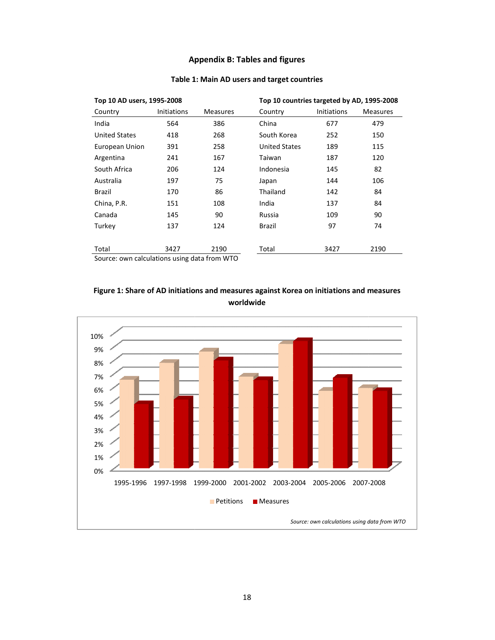#### **Appendix B: Tables and figures Tables figures**

| Top 10 AD users, 1995-2008                   |                    |                 |                      | Top 10 countries targeted by AD, 1995-2008 |                 |  |  |  |
|----------------------------------------------|--------------------|-----------------|----------------------|--------------------------------------------|-----------------|--|--|--|
| Country                                      | <b>Initiations</b> | <b>Measures</b> | Country              | <b>Initiations</b>                         | <b>Measures</b> |  |  |  |
| India                                        | 564                | 386             | China                | 677                                        | 479             |  |  |  |
| <b>United States</b>                         | 418                | 268             | South Korea          | 252                                        | 150             |  |  |  |
| European Union                               | 391                | 258             | <b>United States</b> | 189                                        | 115             |  |  |  |
| Argentina                                    | 241                | 167             | Taiwan               | 187                                        | 120             |  |  |  |
| South Africa                                 | 206                | 124             | Indonesia            | 145                                        | 82              |  |  |  |
| Australia                                    | 197                | 75              | Japan                | 144                                        | 106             |  |  |  |
| <b>Brazil</b>                                | 170                | 86              | Thailand             | 142                                        | 84              |  |  |  |
| China, P.R.                                  | 151                | 108             | India                | 137                                        | 84              |  |  |  |
| Canada                                       | 145                | 90              | Russia               | 109                                        | 90              |  |  |  |
| Turkey                                       | 137                | 124             | Brazil               | 97                                         | 74              |  |  |  |
|                                              |                    |                 |                      |                                            |                 |  |  |  |
| Total                                        | 3427               | 2190            | Total                | 3427                                       | 2190            |  |  |  |
| Source: own calculations using data from WTO |                    |                 |                      |                                            |                 |  |  |  |

#### **Table 1: Main Main AD users and target countries**

Source: own calculations using data from WTO



### Figure 1: Share of AD initiations and measures against Korea on initiations and measures **worldwide**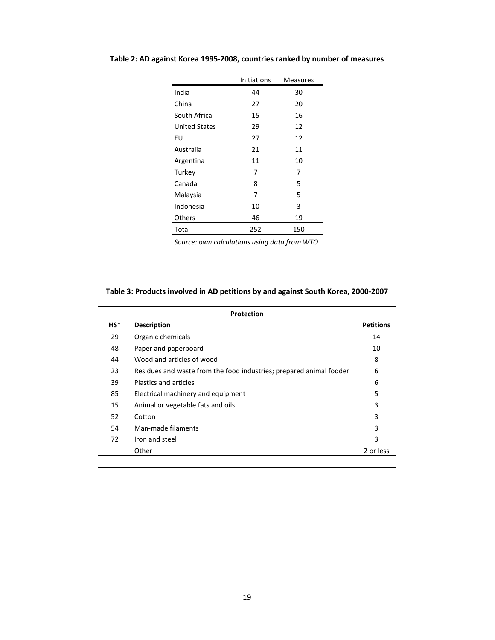|                      | <b>Initiations</b> | <b>Measures</b> |
|----------------------|--------------------|-----------------|
| India                | 44                 | 30              |
| China                | 27                 | 20              |
| South Africa         | 15                 | 16              |
| <b>United States</b> | 29                 | 12              |
| EU                   | 27                 | 12              |
| Australia            | 21                 | 11              |
| Argentina            | 11                 | 10              |
| Turkey               | 7                  | 7               |
| Canada               | 8                  | 5               |
| Malaysia             | 7                  | 5               |
| Indonesia            | 10                 | 3               |
| Others               | 46                 | 19              |
| Total                | 252                | 150             |

# **Table 2: AD against Korea 1995-2008, countries ranked by number of measures**

*Source: own calculations using data from WTO* 

### **Table 3: Products involved in AD petitions by and against South Korea, 2000-2007**

|        | Protection                                                          |                  |  |  |  |  |  |  |
|--------|---------------------------------------------------------------------|------------------|--|--|--|--|--|--|
| $HS^*$ | <b>Description</b>                                                  | <b>Petitions</b> |  |  |  |  |  |  |
| 29     | Organic chemicals                                                   | 14               |  |  |  |  |  |  |
| 48     | Paper and paperboard                                                | 10               |  |  |  |  |  |  |
| 44     | Wood and articles of wood                                           | 8                |  |  |  |  |  |  |
| 23     | Residues and waste from the food industries; prepared animal fodder | 6                |  |  |  |  |  |  |
| 39     | Plastics and articles                                               | 6                |  |  |  |  |  |  |
| 85     | Electrical machinery and equipment                                  | 5                |  |  |  |  |  |  |
| 15     | Animal or vegetable fats and oils                                   | 3                |  |  |  |  |  |  |
| 52     | Cotton                                                              | 3                |  |  |  |  |  |  |
| 54     | Man-made filaments                                                  | 3                |  |  |  |  |  |  |
| 72     | Iron and steel                                                      | 3                |  |  |  |  |  |  |
|        | Other                                                               | 2 or less        |  |  |  |  |  |  |
|        |                                                                     |                  |  |  |  |  |  |  |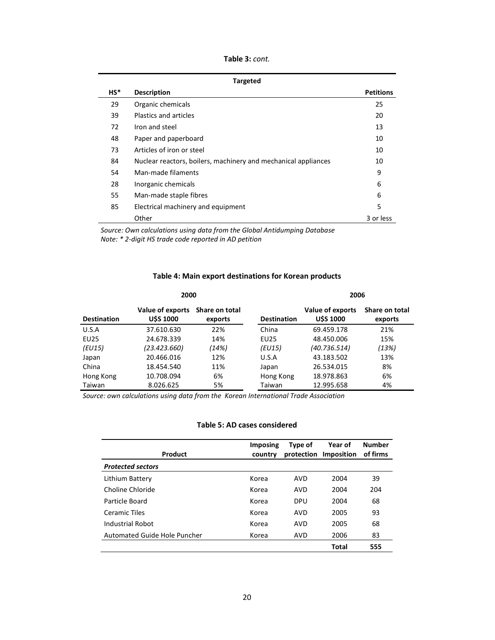| Table 3: cont. |  |  |  |
|----------------|--|--|--|
|----------------|--|--|--|

|        | <b>Targeted</b>                                                |                  |  |  |  |  |  |  |
|--------|----------------------------------------------------------------|------------------|--|--|--|--|--|--|
| $HS^*$ | <b>Description</b>                                             | <b>Petitions</b> |  |  |  |  |  |  |
| 29     | Organic chemicals                                              | 25               |  |  |  |  |  |  |
| 39     | Plastics and articles                                          | 20               |  |  |  |  |  |  |
| 72     | Iron and steel                                                 | 13               |  |  |  |  |  |  |
| 48     | Paper and paperboard                                           | 10               |  |  |  |  |  |  |
| 73     | Articles of iron or steel                                      | 10               |  |  |  |  |  |  |
| 84     | Nuclear reactors, boilers, machinery and mechanical appliances | 10               |  |  |  |  |  |  |
| 54     | Man-made filaments                                             | 9                |  |  |  |  |  |  |
| 28     | Inorganic chemicals                                            | 6                |  |  |  |  |  |  |
| 55     | Man-made staple fibres                                         | 6                |  |  |  |  |  |  |
| 85     | Electrical machinery and equipment                             | 5                |  |  |  |  |  |  |
|        | Other                                                          | 3 or less        |  |  |  |  |  |  |

*Source: Own calculations using data from the Global Antidumping Database Note: \* 2-digit HS trade code reported in AD petition* 

### **Table 4: Main export destinations for Korean products**

|                    | 2000                                |                           |                    | 2006                                |                           |  |  |
|--------------------|-------------------------------------|---------------------------|--------------------|-------------------------------------|---------------------------|--|--|
| <b>Destination</b> | Value of exports<br><b>USS 1000</b> | Share on total<br>exports | <b>Destination</b> | Value of exports<br><b>USS 1000</b> | Share on total<br>exports |  |  |
| U.S.A              | 37.610.630                          | 22%                       | China              | 69.459.178                          | 21%                       |  |  |
| EU25               | 24.678.339                          | 14%                       | EU25               | 48.450.006                          | 15%                       |  |  |
| (EU15)             | (23.423.660)                        | (14%)                     | (EU15)             | (40.736.514)                        | (13%)                     |  |  |
| Japan              | 20.466.016                          | 12%                       | U.S.A              | 43.183.502                          | 13%                       |  |  |
| China              | 18.454.540                          | 11%                       | Japan              | 26.534.015                          | 8%                        |  |  |
| Hong Kong          | 10.708.094                          | 6%                        | Hong Kong          | 18.978.863                          | 6%                        |  |  |
| Taiwan             | 8.026.625                           | 5%                        | Taiwan             | 12.995.658                          | 4%                        |  |  |

*Source: own calculations using data from the Korean International Trade Association* 

#### **Table 5: AD cases considered**

| Product                      | <b>Imposing</b><br>country | Type of<br>protection | Year of<br>Imposition | <b>Number</b><br>of firms |
|------------------------------|----------------------------|-----------------------|-----------------------|---------------------------|
| <b>Protected sectors</b>     |                            |                       |                       |                           |
| Lithium Battery              | Korea                      | AVD                   | 2004                  | 39                        |
| Choline Chloride             | Korea                      | AVD                   | 2004                  | 204                       |
| Particle Board               | Korea                      | <b>DPU</b>            | 2004                  | 68                        |
| Ceramic Tiles                | Korea                      | AVD                   | 2005                  | 93                        |
| Industrial Robot             | Korea                      | AVD                   | 2005                  | 68                        |
| Automated Guide Hole Puncher | Korea                      | AVD                   | 2006                  | 83                        |
|                              |                            |                       | <b>Total</b>          | 555                       |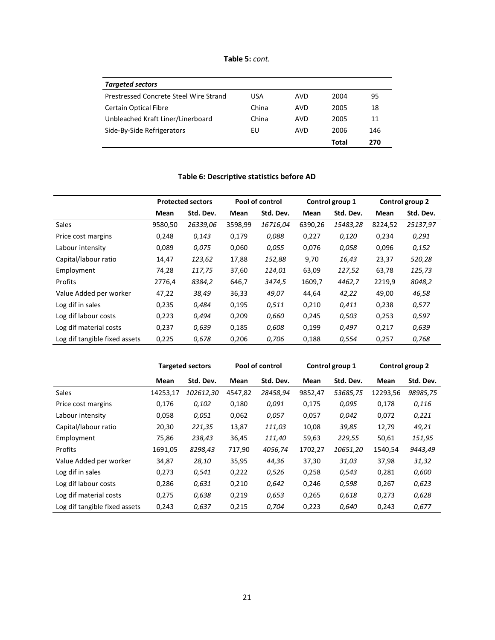**Table 5:** *cont.*

| USA   | AVD | 2004  | 95  |
|-------|-----|-------|-----|
| China | AVD | 2005  | 18  |
| China | AVD | 2005  | 11  |
| EU    | AVD | 2006  | 146 |
|       |     | Total | 270 |
|       |     |       |     |

### **Table 6: Descriptive statistics before AD**

|                               | <b>Protected sectors</b> |           |         | Pool of control |         | Control group 1 |         | Control group 2 |
|-------------------------------|--------------------------|-----------|---------|-----------------|---------|-----------------|---------|-----------------|
|                               | Mean                     | Std. Dev. | Mean    | Std. Dev.       | Mean    | Std. Dev.       | Mean    | Std. Dev.       |
| <b>Sales</b>                  | 9580,50                  | 26339,06  | 3598,99 | 16716,04        | 6390,26 | 15483,28        | 8224,52 | 25137,97        |
| Price cost margins            | 0,248                    | 0,143     | 0,179   | 0,088           | 0,227   | 0,120           | 0,234   | 0,291           |
| Labour intensity              | 0,089                    | 0,075     | 0,060   | 0,055           | 0,076   | 0,058           | 0,096   | 0,152           |
| Capital/labour ratio          | 14,47                    | 123,62    | 17,88   | 152,88          | 9,70    | 16,43           | 23,37   | 520,28          |
| Employment                    | 74,28                    | 117,75    | 37,60   | 124,01          | 63,09   | 127,52          | 63,78   | 125,73          |
| Profits                       | 2776.4                   | 8384,2    | 646,7   | 3474.5          | 1609,7  | 4462,7          | 2219,9  | 8048,2          |
| Value Added per worker        | 47,22                    | 38,49     | 36,33   | 49,07           | 44,64   | 42,22           | 49,00   | 46,58           |
| Log dif in sales              | 0,235                    | 0,484     | 0,195   | 0,511           | 0,210   | 0,411           | 0,238   | 0,577           |
| Log dif labour costs          | 0,223                    | 0,494     | 0,209   | 0,660           | 0,245   | 0,503           | 0,253   | 0,597           |
| Log dif material costs        | 0,237                    | 0,639     | 0,185   | 0,608           | 0,199   | 0,497           | 0,217   | 0,639           |
| Log dif tangible fixed assets | 0,225                    | 0,678     | 0,206   | 0,706           | 0,188   | 0,554           | 0,257   | 0,768           |

|                               | <b>Targeted sectors</b> |           | Pool of control |           | Control group 1 |           | Control group 2 |           |
|-------------------------------|-------------------------|-----------|-----------------|-----------|-----------------|-----------|-----------------|-----------|
|                               | Mean                    | Std. Dev. | Mean            | Std. Dev. | Mean            | Std. Dev. | Mean            | Std. Dev. |
| Sales                         | 14253,17                | 102612,30 | 4547,82         | 28458,94  | 9852,47         | 53685,75  | 12293,56        | 98985,75  |
| Price cost margins            | 0,176                   | 0,102     | 0,180           | 0,091     | 0,175           | 0,095     | 0,178           | 0,116     |
| Labour intensity              | 0,058                   | 0,051     | 0,062           | 0,057     | 0,057           | 0,042     | 0,072           | 0,221     |
| Capital/labour ratio          | 20,30                   | 221,35    | 13,87           | 111,03    | 10,08           | 39,85     | 12,79           | 49,21     |
| Employment                    | 75,86                   | 238,43    | 36,45           | 111,40    | 59,63           | 229,55    | 50,61           | 151,95    |
| Profits                       | 1691,05                 | 8298,43   | 717,90          | 4056,74   | 1702,27         | 10651,20  | 1540,54         | 9443,49   |
| Value Added per worker        | 34,87                   | 28,10     | 35,95           | 44,36     | 37,30           | 31,03     | 37,98           | 31,32     |
| Log dif in sales              | 0,273                   | 0,541     | 0,222           | 0,526     | 0,258           | 0,543     | 0,281           | 0,600     |
| Log dif labour costs          | 0,286                   | 0,631     | 0,210           | 0,642     | 0,246           | 0,598     | 0,267           | 0,623     |
| Log dif material costs        | 0,275                   | 0,638     | 0,219           | 0,653     | 0,265           | 0,618     | 0,273           | 0,628     |
| Log dif tangible fixed assets | 0,243                   | 0,637     | 0,215           | 0,704     | 0,223           | 0,640     | 0,243           | 0,677     |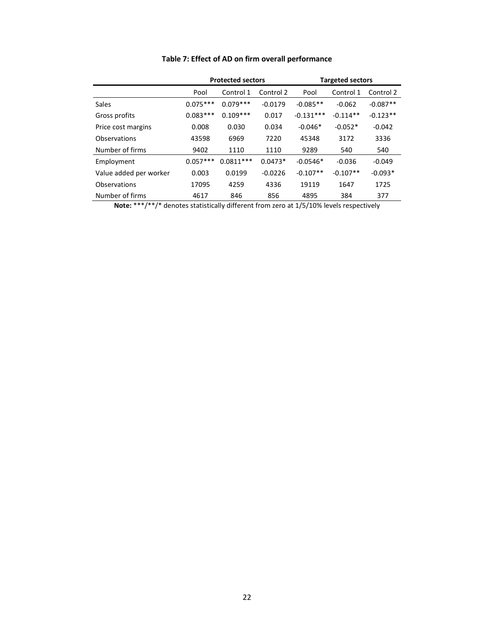|                        | <b>Protected sectors</b><br><b>Targeted sectors</b> |             |           |             |            |            |
|------------------------|-----------------------------------------------------|-------------|-----------|-------------|------------|------------|
|                        | Pool                                                | Control 1   | Control 2 | Pool        | Control 1  | Control 2  |
| <b>Sales</b>           | $0.075***$                                          | $0.079***$  | $-0.0179$ | $-0.085**$  | $-0.062$   | $-0.087**$ |
| Gross profits          | $0.083***$                                          | $0.109***$  | 0.017     | $-0.131***$ | $-0.114**$ | $-0.123**$ |
| Price cost margins     | 0.008                                               | 0.030       | 0.034     | $-0.046*$   | $-0.052*$  | $-0.042$   |
| Observations           | 43598                                               | 6969        | 7220      | 45348       | 3172       | 3336       |
| Number of firms        | 9402                                                | 1110        | 1110      | 9289        | 540        | 540        |
| Employment             | $0.057***$                                          | $0.0811***$ | $0.0473*$ | $-0.0546*$  | $-0.036$   | $-0.049$   |
| Value added per worker | 0.003                                               | 0.0199      | $-0.0226$ | $-0.107**$  | $-0.107**$ | $-0.093*$  |
| Observations           | 17095                                               | 4259        | 4336      | 19119       | 1647       | 1725       |
| Number of firms        | 4617                                                | 846         | 856       | 4895        | 384        | 377        |

# **Table 7: Effect of AD on firm overall performance**

**Note:** \*\*\*/\*\*/\* denotes statistically different from zero at 1/5/10% levels respectively